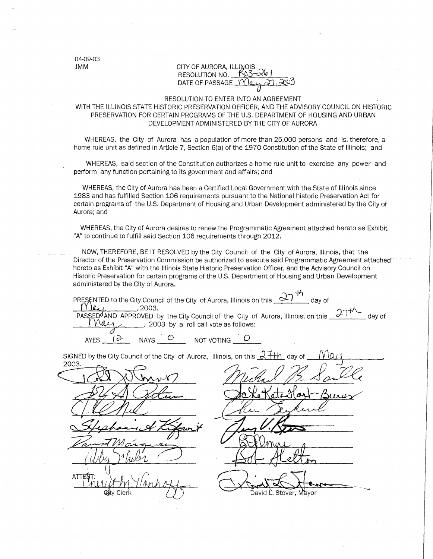04-09-03

#### JMM **CITY OF AURORA, ILLINOIS** RESOLUTION NO.  $K_{03-0}$ DATE OF PASSAGE  $\gamma$   $\alpha$

#### RESOLUTION TO ENTER INTO AN AGREEMENT

#### WITH THE ILLINOIS STATE HISTORIC PRESERVATION OFFICER, AND THE ADVISORY COUNCIL ON HISTORIC PRESERVATION FOR CERTAIN PROGRAMS OF THE U.S. DEPARTMENT OF HOUSING AND URBAN DEVELOPMENT ADMINISTERED BY THE CITY OF AURORA

WHEREAS, the City of Aurora has a population of more than 25,000 persons and is, therefore, a home rule unit as defined in Article 7, Section 6(a) of the 1970 Constitution of the State of Illinois; and

WHEREAS, said section of the Constitution authorizes a home rule unit to exercise any power and perform any function pertaining to its government and affairs; and

WHEREAS, the City of Aurora has been a Certified Local Government with the State of Illinois since 1983 and has fulfilled Section 106 requirements pursuant to the National historic Preservation Act for certain programs of the U.S. Department of Housing and Urban Development administered by the City of Aurora; and

WHEREAS, the City of Aurora desires to renew the Programmatic Agreement attached hereto as Exhibit "A" to continue to fulfill said Section 106 requirements through 2012.

NOW, THEREFORE, BE IT RESOLVED by the City Council of the City of Aurora, Illinois, that the Director of the Preservation Commission be authorized to execute said Programmatic Agreement attached hereto as Exhibit "A" with the Illinois State Historic Preservation Officer, and the Advisory Council on Historic Preservation for certain programs of the U.S. Department of Housing and Urban Development administered by the City of Aurora.

 $+\hbar$ PRESENTED to the City Council of the City of Aurora, Illinois on this  $\frac{1}{2}$  day of  $\frac{1}{2}$  day of  $\frac{11 \text{ kg}}{27.1}$  .............., 2003.<br>PASSED AND APPROVED by the City Council of the City of Aurora, Illinois, on this  $\frac{27.14\text{ m}}{27.1}$  day of  $U(1)$ , 2003 by a roll call vote as follows:

--- "~-~- ... \_

 $AYES \tA\rightarrow AAYS$  NAYS  $O$  NOT VOTING

2003. David L. Stover, Mayor Cler

SIGNED by the City Council of the City of Aurora, Illinois, on this  $\mathcal{A}$  +  $\mathcal{H}$  day of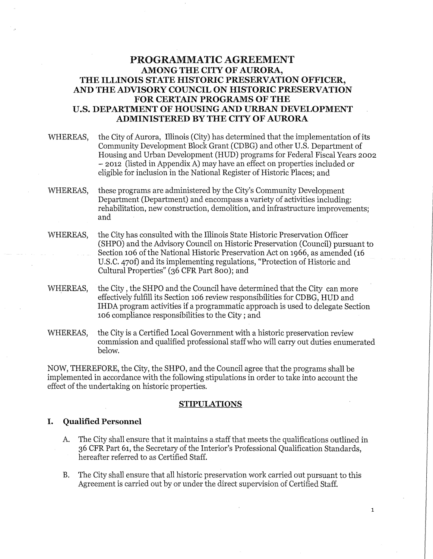## **PROGRAMMATIC AGREEMENT AMONG THE CITY OF AURORA, THE ILLINOIS STATE HISTORIC PRESERVATION OFFICER, AND THE ADVISORY COUNCIL ON HISTORIC PRESERVATION FOR CERTAIN PROGRAMS OF THE U.S. DEPARTMENT OF HOUSING AND URBAN DEVELOPMENT ADMINISTERED BY THE CITY OF AURORA**

- WHEREAS, the City of Aurora, Illinois (City) has determined that the implementation of its Community Development Block Grant (CDBG) and other U.S. Department of Housing and Urban Development (HUD) programs for Federal Fiscal Years 2002 - 2012 (listed in Appendix A) may have an effect on properties included or eligible for inclusion in the National Register of Historic Places; and
- WHEREAS, these programs are administered by the City's Community Development Department (Department) and encompass a variety of activities including: rehabilitation, new construction, demolition, and infrastructure improvements; and
- WHEREAS, the City has consulted with the Illinois State Historic Preservation Officer (SHPO) and the Advisory Council on Historic Preservation (Council) pursuant to Section 106 of the National Historic Preservation Act on 1966, as amended (16 U.S.C. 470f) and its implementing regulations, "Protection of Historic and Cultural Properties" (36 CFR Part 800); and
- WHEREAS, the City , the SHPO and the Council have determined that the City can more effectively fulfill its Section 106 review responsibilities for CDBG, HUD and IHDA program activities if a programmatic approach is used to delegate Section 106 compliance responsibilities to the City ; and
- WHEREAS, the City is a Certified Local Government with a historic preservation review commission and qualified professional staff who will carry out duties enumerated below.

NOW, THEREFORE, the City, the SHPO, and the Council agree that the programs shall be implemented in accordance with the following stipulations in order to take into account the effect of the undertaking on historic properties.

#### **STIPULATIONS**

#### I. **Qualified Personnel**

- A. The City shall ensure that it maintains a staff that meets the qualifications outlined in 36 CFR Part 61, the Secretary of the Interior's Professional Qualification Standards, hereafter referred to as Certified Staff.
- B. The City shall ensure that all historic preservation work carried out pursuant to this Agreement is carried out by or under the direct supervision of Certified Staff.

1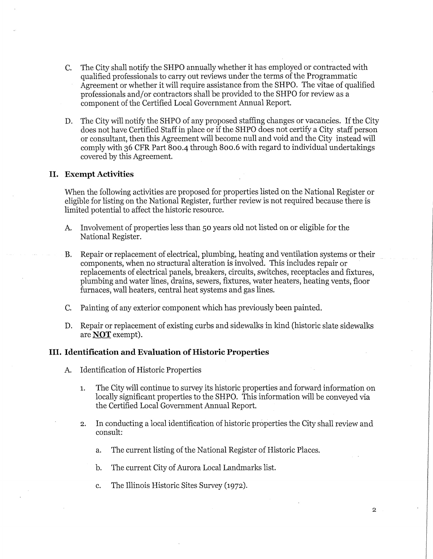- C. The City shall notify the SHPO annually whether it has employed or contracted with qualified professionals to carry out reviews under the terms of the Programmatic Agreement or whether it will require assistance from the SHPO. The vitae of qualified professionals and/or contractors shall be provided to the SHPO for review as a component of the Certified Local Government Annual Report.
- D. The City will notify the SHPO of any proposed staffing changes or vacancies. If the City does not have Certified Staff in place or if the SHPO does not certify a City staff person or consultant, then this Agreement will become null and void and the City instead will comply with 36 CFR Part 800-4 through 800.6 with regard to individual undertakings covered by this Agreement.

#### **II. Exempt Activities**

When the following activities are proposed for properties listed on the National Register or eligible for listing on the National Register, further review is not required because there is limited potential to affect the historic resource.

- A. Involvement of properties less than 50 years old not listed on or eligible for the National Register.
- B. Repair or replacement of electrical, plumbing, heating and ventilation systems or their components, when no structural alteration is involved. This includes repair or replacements of electrical panels, breakers, circuits, switches, receptacles and fixtures, plumbing and water lines, drains, sewers, fixtures, water heaters, heating vents, floor furnaces, wall heaters, central heat systems and gas lines.
- C. Painting of any exterior component which has previously been painted.
- D. Repair or replacement of existing curbs and sidewalks in kind (historic slate sidewalks are **NOT** exempt).

#### III. **Identification and Evaluation of Historic Properties**

- A. Identification of Historic Properties
	- 1. The City will continue to survey its historic properties and forward information on locally significant properties to the SHPO. This information will be conveyed via the Certified Local Government Annual Report.
	- 2. In conducting a local identification of historic properties the City shall review and consult:
		- a. The current listing of the National Register of Historic Places.
		- b. The current City of Aurora Local Landmarks list.
		- c. The Illinois Historic Sites Survey (1972).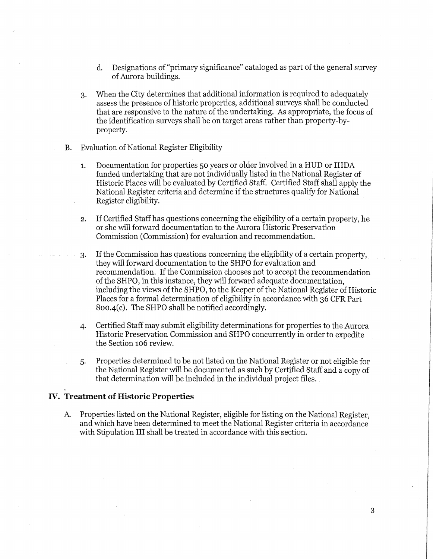- d. Designations of "primary significance" cataloged as part of the general survey of Aurora buildings.
- 3. When the City determines that additional information is required to adequately assess the presence of historic properties, additional surveys shall be conducted that are responsive to the nature of the undertaking. As appropriate, the focus of the identification surveys shall be on target areas rather than property-byproperty.
- B. Evaluation of National Register Eligibility
	- 1. Documentation for properties 50 years or older involved in a HUD or IHDA funded undertaking that are not individually listed in the National Register of Historic Places will be evaluated by Certified Staff. Certified Staff shall apply the National Register criteria and determine if the structures qualify for National Register eligibility.
	- 2. If Certified Staff has questions concerning the eligibility of a certain property, he or she will forward documentation to the Aurora Historic Preservation Commission (Commission) for evaluation and recommendation.
	- 3. If the Commission has questions concerning the eligibility of a certain property, they will forward documentation to the SHPO for evaluation and recommendation. If the Commission chooses not to accept the recommendation of the SHPO, in this instance, they will forward adequate documentation, including the views of the SHPO, to the Keeper of the National Register of Historic Places for a formal determination of eligibility in accordance with 36 CFR Part 800,4(c). The SHPO shall be notified accordingly.
	- 4. Certified Staff may submit eligibility determinations for properties to the Aurora Historic Preservation Commission and SHPO concurrently in order to expedite the Section 106 review.
	- 5. Properties determined to be not listed on the National Register or not eligible for the National Register will be documented as such by Certified Staff and a copy of that determination will be included in the individual project files.

#### IV. **Treatment of Historic Properties**

A Properties listed on the National Register, eligible for listing on the National Register, and which have been determined to meet the National Register criteria in accordance with Stipulation III shall be treated in accordance with this section.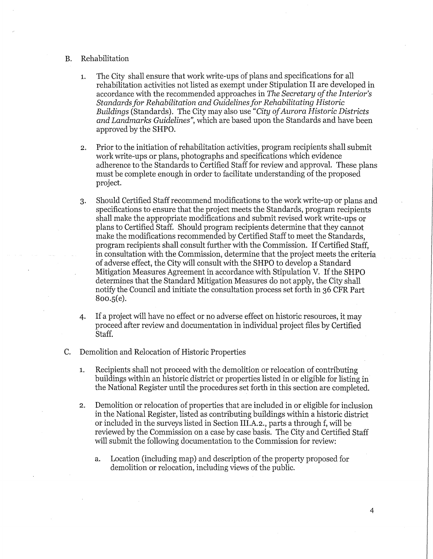#### B. Rehabilitation

- 1. The City shall ensure that work write-ups of plans and specifications for all rehabilitation activities not listed as exempt under Stipulation II are developed in accordance with the recommended approaches in *The Secretary of the Interior's Standards for Rehabilitation and Guidelines for Rehabilitating Historic Buildings* (Standards). The City may also use *"City of Aurora Historic Districts and Landmarks Guidelines",* which are based upon the Standards and have been approved by the SHPO.
- 2. Prior to the initiation of rehabilitation activities, program recipients shall submit work write-ups or plans, photographs and specifications which evidence adherence to the Standards to Certified Staff for review and approval. These plans must be complete enough in order to facilitate understanding of the proposed project.
- 3. Should Certified Staff recommend modifications to the work write-up or plans and specifications to ensure that the project meets the Standards, program recipients shall make the appropriate modifications and submit revised work write-ups or plans to Certified Staff. Should program recipients determine that they cannot make the modifications recommended by Certified Staff to meet the Standards, program recipients shall consult further with the Commission. If Certified Staff, in consultation with the Commission, determine that the project meets the criteria of adverse effect, the City will consult with the SHPO to develop a Standard Mitigation Measures Agreement in accordance with Stipulation V. If the SHPO determines that the Standard Mitigation Measures do not apply, the City shall notify the Council and initiate the consultation process set forth in 36 CFR Part 800.5(e).
- 4. If a project will have no effect or no adverse effect on historic resources, it may proceed after review and documentation in individual project files by Certified Staff.
- C. Demolition and Relocation of Historic Properties
	- 1. Recipients shall not proceed with the demolition or relocation of contributing buildings within an historic district or properties listed in or eligible for listing in the National Register until the procedures set forth in this section are completed.
	- 2. Demolition or relocation of properties that are included in or eligible for inclusion in the National Register, listed as contributing buildings within a historic district or included in the surveys listed in Section III.A.2., parts a through f, will be reviewed by the Commission on a case by case basis. The City and Certified Staff will submit the following documentation to the Commission for review:
		- a. Location (including map) and description of the property proposed for demolition or relocation, including views of the public.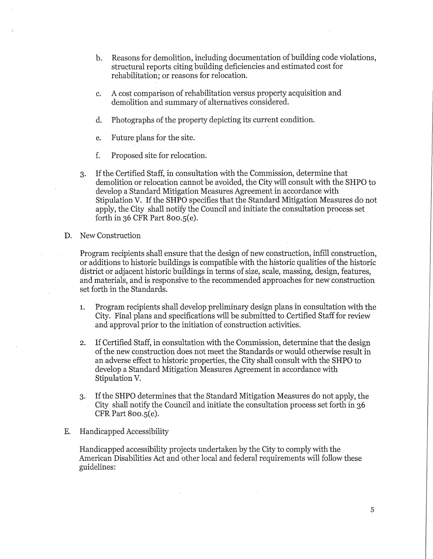- b. Reasons for demolition, including documentation of building code violations, structural reports citing building deficiencies and estimated cost for rehabilitation; or reasons for relocation.
- c. A cost comparison of rehabilitation versus property acquisition and demolition and summary of alternatives considered.
- d. Photographs of the property depicting its current condition.
- e. Future plans for the site.
- f. Proposed site for relocation.
- 3. If the Certified Staff, in consultation with the Commission, determine that demolition or relocation cannot be avoided, the City will consult with the SHPO to develop a Standard Mitigation Measures Agreement in accordance with Stipulation V. If the SHPO specifies that the Standard Mitigation Measures do not apply, the City shall notify the Council and initiate the consultation process set forth in 36 CFR Part 800.5(e).
- D. New Construction

Program recipients shall ensure that the design of new construction, infill construction, or additions to historic buildings is compatible with the historic qualities of the historic district or adjacent historic buildings in terms of size, scale, massing, design, features, and materials, and is responsive to the recommended approaches for new construction set forth in the Standards.

- 1. Program recipients shall develop preliminary design plans in consultation with the City. Final plans and specifications will be submitted to Certified Staff for review and approval prior to the initiation of construction activities.
- 2. If Certified Staff, in consultation with the Commission, determine that the design of the new construction does not meet the Standards or would otherwise result in an adverse effect to historic properties, the City shall consult with the SHPO to develop a Standard Mitigation Measures Agreement in accordance with Stipulation V.
- 3. If the SHPO determines that the Standard Mitigation Measures do not apply, the City shall notify the Council and initiate the consultation process set forth in 36 CFR Part 800.5(e).
- E. Handicapped Accessibility

Handicapped accessibility projects undertaken by the City to comply with the American Disabilities Act and other local and federal requirements will follow these guidelines: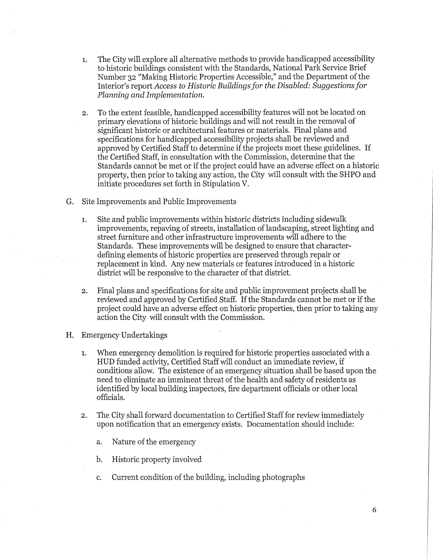- 1. The City will explore all alternative methods to provide handicapped accessibility to historic buildings consistent with the Standards, National Park Service Brief Number 32 "Making Historic Properties Accessible," and the Department of the Interior's report *Access to Historic Buildings for the Disabled: Suggestions for Planning and Implementation.*
- 2. To the extent feasible, handicapped accessibility features will not be located on primary elevations of historic buildings and will not result in the removal of significant historic or architectural features or materials. Final plans and specifications for handicapped accessibility projects shall be reviewed and approved by Certified Staff to determine if the projects meet these guidelines. If the Certified Staff, in consultation with the Commission, determine that the Standards cannot be met or if the project could have an adverse effect on a historic property, then prior to taking any action, the City will consult with the SHPO and initiate procedures set forth in Stipulation V.
- G. Site Improvements and Public Improvements
	- 1. Site and public improvements within historic districts including sidewalk improvements, repaving of streets, installation of landscaping, street lighting and street furniture and other infrastructure improvements will adhere to the Standards. These improvements will be designed to ensure that characterdefining elements of historic properties are preserved through repair or replacement in kind. Any new materials or features introduced in a historic district will be responsive to the character of that district.
	- 2. Final plans and specifications for site and public improvement projects shall be reviewed and approved by Certified Staff. If the Standards cannot be met or if the project could have an adverse effect on historic properties, then prior to taking any action the City will consult with the Commission.
- H. Emergency Undertakings
	- 1. When emergency demolition is required for historic properties associated with a HUD funded activity, Certified Staff will conduct an immediate review, if conditions allow. The existence of an emergency situation shall be based upon the need to eliminate an imminent threat of the health and safety of residents as identified by local building inspectors, fire department officials or other local officials.
	- 2. The City shall forward documentation to Certified Staff for review immediately upon notification that an emergency exists. Documentation should include:
		- a. Nature of the emergency
		- b. Historic property involved
		- c. Current condition of the building, including photographs

6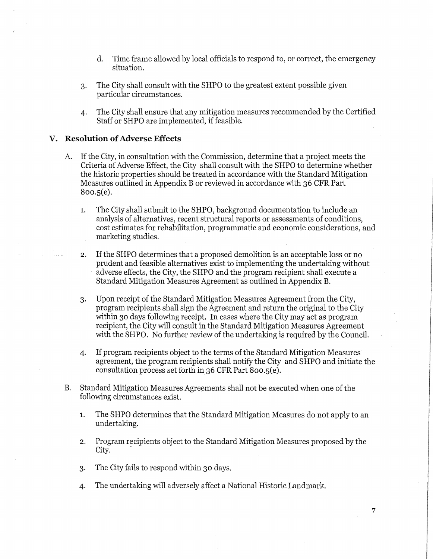- d. Time frame allowed by local officials to respond to, or correct, the emergency situation.
- 3. The City shall consult with the SHPO to the greatest extent possible given particular circumstances.
- 4. The City shall ensure that any mitigation measures recommended by the Certified Staff or SHPO are implemented, if feasible.

#### **V. Resolution of Adverse Effects**

- A. If the City, in consultation with the Commission, determine that a project meets the Criteria of Adverse Effect, the City shall consult with the SHPO to determine whether the historic properties should be treated in accordance with the Standard Mitigation Measures outlined in Appendix B or reviewed in accordance with 36 CFR Part 800.5(e).
	- 1. The City shall submit to the SHPO, background documentation to include an analysis of alternatives, recent structural reports or assessments of conditions, cost estimates for rehabilitation, programmatic and economic considerations, and marketing studies.
	- 2. If the SHPO determines that a proposed demolition is an acceptable loss or no prudent and feasible alternatives exist to implementing the undertaking without adverse effects, the City, the SHPO and the program recipient shall execute a Standard Mitigation Measures Agreement as outlined in Appendix B.
	- 3. Upon receipt of the Standard Mitigation Measures Agreement from the City, program recipients shall sign the Agreement and return the original to the City within 30 days following receipt. In cases where the City may act as program recipient, the City will consult in the Standard Mitigation Measures Agreement with the SHPO. No further review of the undertaking is required by the Council.
	- 4. If program recipients object to the terms of the Standard Mitigation Measures· agreement, the program recipients shall notify the City and SHPO and initiate the consultation process set forth in 36 CFR Part 800.5(e).
- B. Standard Mitigation Measures Agreements shall not be executed when one of the following circumstances exist.
	- 1. The SHPO determines that the Standard Mitigation Measures do not apply to an undertaking.
	- 2. Program recipients object to the Standard Mitigation Measures proposed by the City.
	- 3. The City fails to respond within 30 days.
	- 4. The undertaking will adversely affect a National Historic Landmark.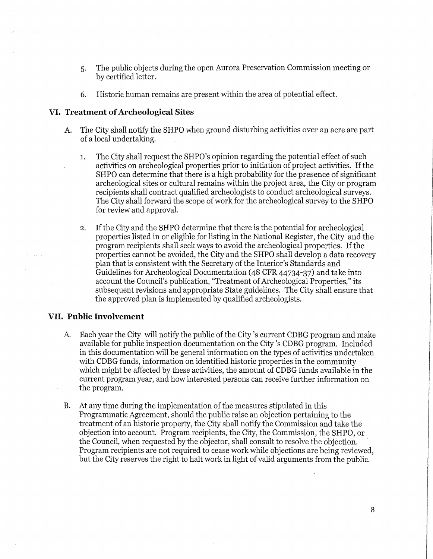- 5. The public objects during the open Aurora Preservation Commission meeting or by certified letter.
- 6. Historic human remains are present within the area of potential effect.

#### **VI. Treatment of Archeological Sites**

- A. The City shall notify the SHPO when ground disturbing activities over an acre are part of a local undertaking.
	- 1. The City shall request the SHPO's opinion regarding the potential effect of such activities on archeological properties prior to initiation of project activities. If the SHPO can determine that there is a high probability for the presence of significant archeological sites or cultural remains within the project area, the City or program recipients shall contract qualified archeologists to conduct archeological surveys. The City shall forward the scope of work for the archeological survey to the SHPO for review and approval.
	- 2. If the City and the SHPO determine that there is the potential for archeological properties listed in or eligible for listing in the National Register, the City and the program recipients shall seek ways to avoid the archeological properties. If the properties cannot be avoided, the City and the SHPO shall develop a data recovery plan that is consistent with the Secretary of the Interior's Standards and Guidelines for Archeological Documentation (48 CFR 44734-37) and take into account the Council's publication, "Treatment of Archeological Properties," its subsequent revisions and appropriate State guidelines. The City shall ensure that the approved plan is implemented by qualified archeologists.

#### **VII. Public Involvement**

- A. Each year the City will notify the public of the City's current CDBG program and make available for public inspection documentation on the City's CDBG program. Included in this documentation will be general information on the types of activities undertaken with CDBG funds, information on identified historic properties in the community which might be affected by these activities, the amount of CDBG funds available in the current program year, and how interested persons can receive further information on the program.
- B. At any time during the implementation of the measures stipulated in this Programmatic Agreement, should the public raise an objection pertaining to the treatment of an historic property, the City shall notify the Commission and take the objection into account. Program recipients, the City, the Commission, the SHPO, or the Council, when requested by the objector, shall consult to resolve the objection. Program recipients are not required to cease work while objections are being reviewed, but the City reserves the right to halt work in light of valid arguments from the public.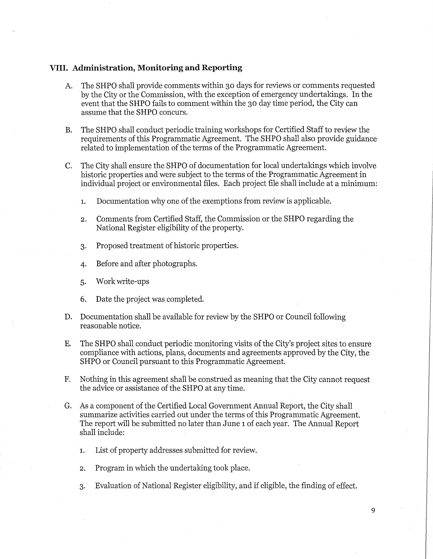#### **VIII. Administration, Monitoring and Reporting**

- A. The SHPO shall provide comments within 30 days for reviews or comments requested by the City or the Commission, with the exception of emergency undertakings. In the event that the SHPO fails to comment within the 30 day time period, the City can assume that the SHPO concurs.
- B. The SHPO shall conduct periodic training workshops for Certified Staff to review the requirements of this Programmatic Agreement. The SHPO shall also provide guidance related to implementation of the terms of the Programmatic Agreement.
- C. The City shall ensure the SHPO of documentation for local undertakings which involve historic properties and were subject to the terms of the Programmatic Agreement in individual project or environmental files. Each project file shall include at a minimum:
	- 1. Documentation why one of the exemptions from review is applicable.
	- 2. Comments from Certified Staff, the Commission or the SHPO regarding the National Register eligibility of the property.
	- 3. Proposed treatment of historic properties.
	- 4. Before and after photographs.
	- 5. Work write-ups
	- 6. Date the project was completed.
- D. Documentation shall be available for review by the SHPO or Council following reasonable notice.
- E. The SHPO shall conduct periodic monitoring visits of the City's project sites to ensure compliance with actions, plans, documents and agreements approved by the City, the SHPO or Council pursuant to this Programmatic Agreement.
- F. Nothing in this agreement shall be construed as meaning that the City cannot request the advice or assistance of the SHPO at any time.
- G. As a component of the Certified Local Government Annual Report, the City shall summarize activities carried out under the terms of this Programmatic Agreement. The report will be submitted no later than June 1 of each year. The Annual Report shall include:
	- 1. List of property addresses submitted for review.
	- 2. Program in which the undertaking took place.
	- 3. Evaluation of National Register eligibility, and if eligible, the finding of effect.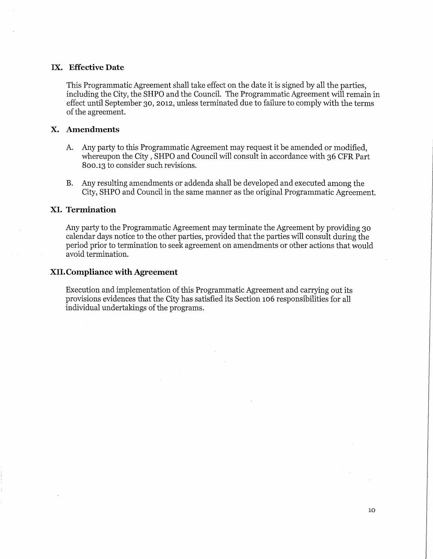#### **IX. Effective Date**

This Programmatic Agreement shall take effect on the date it is signed by all the parties, including the City, the SHPO and the Council. The Programmatic Agreement will remain in effect until September 30, 2012, unless terminated due to failure to comply with the terms of the agreement.

#### **X. Amendments**

- A. Any party to this Programmatic Agreement may request it be amended or modified, whereupon the City, SHPO and Council will consult in accordance with 36 CFR Part 800.13 to consider such revisions.
- B. Any resulting amendments or addenda shall be developed and executed among the City, SHPO and Council in the same manner as the original Programmatic Agreement.

#### **XI. Termination**

Any party to the Programmatic Agreement may terminate the Agreement by providing 30 calendar days notice to the other parties, provided that the parties will consult during the period prior to termination to seek agreement on amendments or other actions that would avoid termination.

#### **XII.Compliance with Agreement**

Execution and implementation of this Programmatic Agreement and carrying out its provisions evidences that the City has satisfied its Section 106 responsibilities for all individual undertakings of the programs.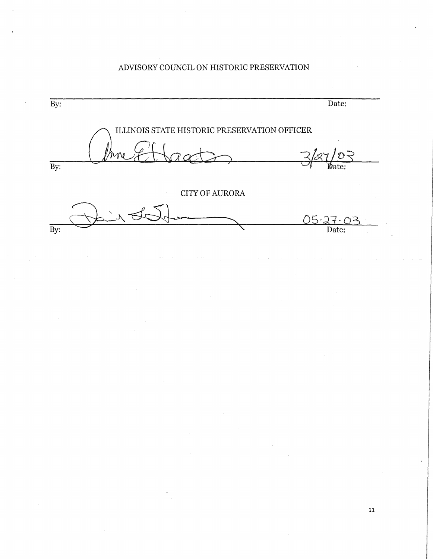## ADVISORY COUNCIL ON HISTORIC PRESERVATION

By: Date: *Q* **ILLINOIS! STATE HISTORIC PRESERVATION OFFICER**  rne Et Caart By: CITY OF AURORA 05-27-03  $\overline{By:}$ Date: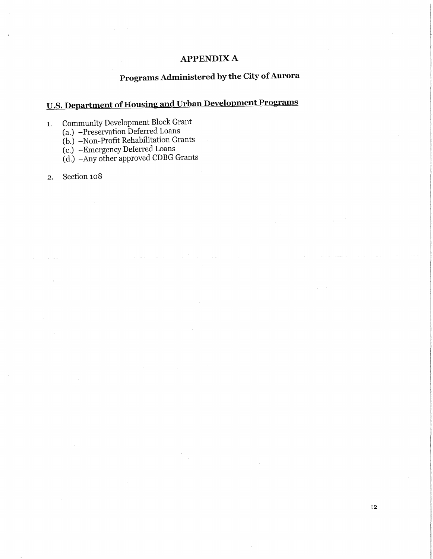### **APPENDIXA**

## **Programs Administered by the City of Aurora**

# **U.S. Department of Housing and Urban Development Programs**

1. Community Development Block Grant

(a.) -Preservation Deferred Loans

(b.) -Non-Profit Rehabilitation Grants

(c.) -Emergency Deferred Loans

(d.) -Any other approved CDBG Grants

2. Section 108